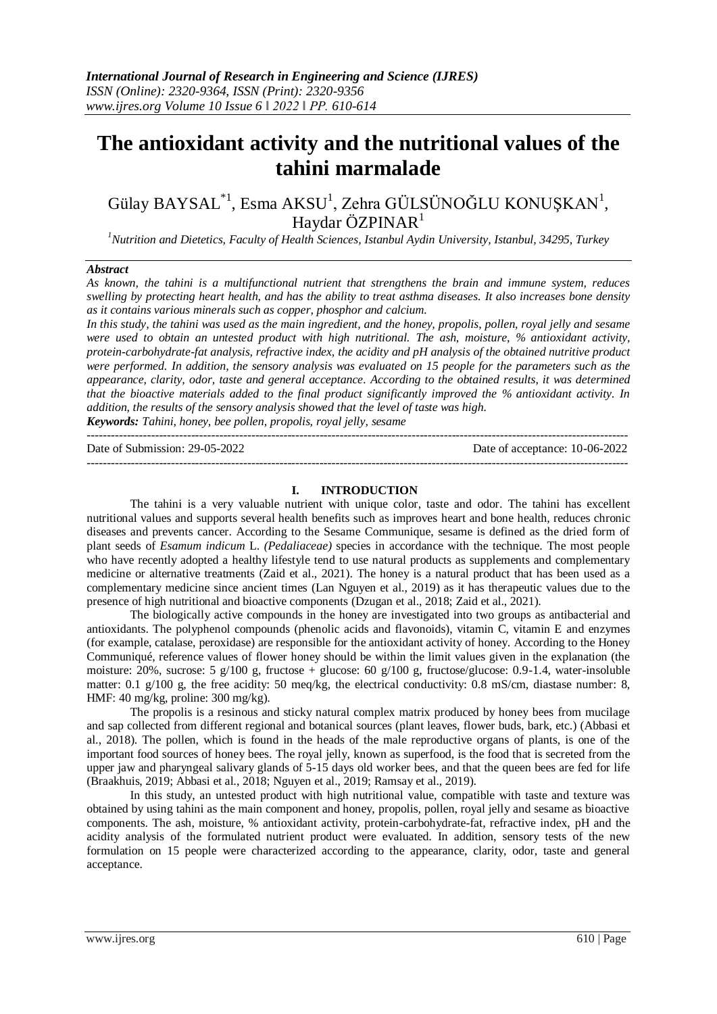# **The antioxidant activity and the nutritional values of the tahini marmalade**

Gülay BAYSAL $^{*1}$ , Esma AKSU<sup>1</sup>, Zehra GÜLSÜNOĞLU KONUŞKAN<sup>1</sup>, Haydar ÖZPINAR $<sup>1</sup>$ </sup>

*<sup>1</sup>Nutrition and Dietetics, Faculty of Health Sciences, Istanbul Aydin University, Istanbul, 34295, Turkey*

#### *Abstract*

*As known, the tahini is a multifunctional nutrient that strengthens the brain and immune system, reduces swelling by protecting heart health, and has the ability to treat asthma diseases. It also increases bone density as it contains various minerals such as copper, phosphor and calcium.*

*In this study, the tahini was used as the main ingredient, and the honey, propolis, pollen, royal jelly and sesame were used to obtain an untested product with high nutritional. The ash, moisture, % antioxidant activity, protein-carbohydrate-fat analysis, refractive index, the acidity and pH analysis of the obtained nutritive product were performed. In addition, the sensory analysis was evaluated on 15 people for the parameters such as the appearance, clarity, odor, taste and general acceptance. According to the obtained results, it was determined that the bioactive materials added to the final product significantly improved the % antioxidant activity. In addition, the results of the sensory analysis showed that the level of taste was high.* 

*Keywords: Tahini, honey, bee pollen, propolis, royal jelly, sesame*

| Date of Submission: 29-05-2022 | Date of acceptance: 10-06-2022 |
|--------------------------------|--------------------------------|
|                                |                                |

#### **I. INTRODUCTION**

The tahini is a very valuable nutrient with unique color, taste and odor. The tahini has excellent nutritional values and supports several health benefits such as improves heart and bone health, reduces chronic diseases and prevents cancer. According to the Sesame Communique, sesame is defined as the dried form of plant seeds of *Esamum indicum* L. *(Pedaliaceae)* species in accordance with the technique. The most people who have recently adopted a healthy lifestyle tend to use natural products as supplements and complementary medicine or alternative treatments (Zaid et al., 2021). The honey is a natural product that has been used as a complementary medicine since ancient times (Lan Nguyen et al., 2019) as it has therapeutic values due to the presence of high nutritional and bioactive components (Dzugan et al., 2018; Zaid et al., 2021).

The biologically active compounds in the honey are investigated into two groups as antibacterial and antioxidants. The polyphenol compounds (phenolic acids and flavonoids), vitamin C, vitamin E and enzymes (for example, catalase, peroxidase) are responsible for the antioxidant activity of honey. According to the Honey Communiqué, reference values of flower honey should be within the limit values given in the explanation (the moisture: 20%, sucrose: 5 g/100 g, fructose + glucose: 60 g/100 g, fructose/glucose: 0.9-1.4, water-insoluble matter: 0.1  $g/100 g$ , the free acidity: 50 meq/kg, the electrical conductivity: 0.8 mS/cm, diastase number: 8, HMF: 40 mg/kg, proline: 300 mg/kg).

The propolis is a resinous and sticky natural complex matrix produced by honey bees from mucilage and sap collected from different regional and botanical sources (plant leaves, flower buds, bark, etc.) (Abbasi et al., 2018). The pollen, which is found in the heads of the male reproductive organs of plants, is one of the important food sources of honey bees. The royal jelly, known as superfood, is the food that is secreted from the upper jaw and pharyngeal salivary glands of 5-15 days old worker bees, and that the queen bees are fed for life (Braakhuis, 2019; Abbasi et al., 2018; Nguyen et al., 2019; Ramsay et al., 2019).

In this study, an untested product with high nutritional value, compatible with taste and texture was obtained by using tahini as the main component and honey, propolis, pollen, royal jelly and sesame as bioactive components. The ash, moisture, % antioxidant activity, protein-carbohydrate-fat, refractive index, pH and the acidity analysis of the formulated nutrient product were evaluated. In addition, sensory tests of the new formulation on 15 people were characterized according to the appearance, clarity, odor, taste and general acceptance.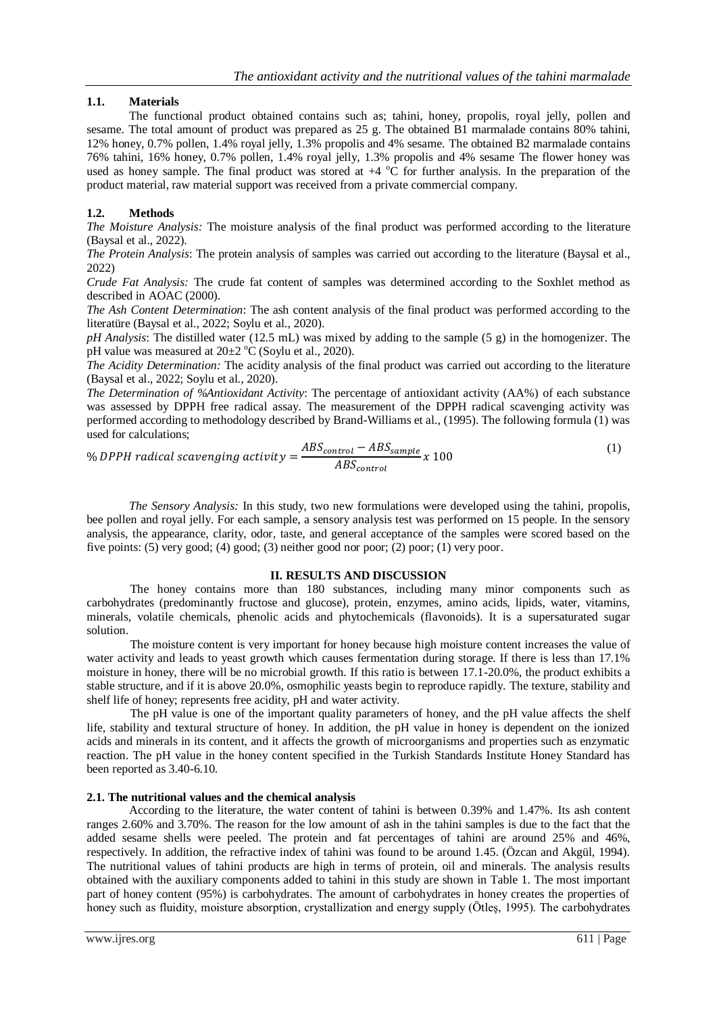# **1.1. Materials**

The functional product obtained contains such as; tahini, honey, propolis, royal jelly, pollen and sesame. The total amount of product was prepared as 25 g. The obtained B1 marmalade contains 80% tahini, 12% honey, 0.7% pollen, 1.4% royal jelly, 1.3% propolis and 4% sesame. The obtained B2 marmalade contains 76% tahini, 16% honey, 0.7% pollen, 1.4% royal jelly, 1.3% propolis and 4% sesame The flower honey was used as honey sample. The final product was stored at  $+4\degree C$  for further analysis. In the preparation of the product material, raw material support was received from a private commercial company.

# **1.2. Methods**

*The Moisture Analysis:* The moisture analysis of the final product was performed according to the literature (Baysal et al., 2022).

*The Protein Analysis*: The protein analysis of samples was carried out according to the literature (Baysal et al., 2022)

*Crude Fat Analysis:* The crude fat content of samples was determined according to the Soxhlet method as described in AOAC (2000).

*The Ash Content Determination*: The ash content analysis of the final product was performed according to the literatüre (Baysal et al., 2022; Soylu et al., 2020).

*pH Analysis*: The distilled water (12.5 mL) was mixed by adding to the sample (5 g) in the homogenizer. The pH value was measured at  $20\pm2$  °C (Soylu et al., 2020).

*The Acidity Determination:* The acidity analysis of the final product was carried out according to the literature (Baysal et al., 2022; Soylu et al., 2020).

*The Determination of %Antioxidant Activity*: The percentage of antioxidant activity (AA%) of each substance was assessed by DPPH free radical assay. The measurement of the DPPH radical scavenging activity was performed according to methodology described by Brand-Williams et al., (1995). The following formula (1) was used for calculations;

% *DPPH* radical scanning activity = 
$$
\frac{ABS_{control} - ABS_{sample}}{ABS_{control}} x 100
$$
 (1)

*The Sensory Analysis:* In this study, two new formulations were developed using the tahini, propolis, bee pollen and royal jelly. For each sample, a sensory analysis test was performed on 15 people. In the sensory analysis, the appearance, clarity, odor, taste, and general acceptance of the samples were scored based on the five points: (5) very good; (4) good; (3) neither good nor poor; (2) poor; (1) very poor.

## **II. RESULTS AND DISCUSSION**

The honey contains more than 180 substances, including many minor components such as carbohydrates (predominantly fructose and glucose), protein, enzymes, amino acids, lipids, water, vitamins, minerals, volatile chemicals, phenolic acids and phytochemicals (flavonoids). It is a supersaturated sugar solution.

The moisture content is very important for honey because high moisture content increases the value of water activity and leads to yeast growth which causes fermentation during storage. If there is less than 17.1% moisture in honey, there will be no microbial growth. If this ratio is between 17.1-20.0%, the product exhibits a stable structure, and if it is above 20.0%, osmophilic yeasts begin to reproduce rapidly. The texture, stability and shelf life of honey; represents free acidity, pH and water activity.

The pH value is one of the important quality parameters of honey, and the pH value affects the shelf life, stability and textural structure of honey. In addition, the pH value in honey is dependent on the ionized acids and minerals in its content, and it affects the growth of microorganisms and properties such as enzymatic reaction. The pH value in the honey content specified in the Turkish Standards Institute Honey Standard has been reported as 3.40-6.10.

## **2.1. The nutritional values and the chemical analysis**

According to the literature, the water content of tahini is between 0.39% and 1.47%. Its ash content ranges 2.60% and 3.70%. The reason for the low amount of ash in the tahini samples is due to the fact that the added sesame shells were peeled. The protein and fat percentages of tahini are around 25% and 46%, respectively. In addition, the refractive index of tahini was found to be around 1.45. (Özcan and Akgül, 1994). The nutritional values of tahini products are high in terms of protein, oil and minerals. The analysis results obtained with the auxiliary components added to tahini in this study are shown in Table 1. The most important part of honey content (95%) is carbohydrates. The amount of carbohydrates in honey creates the properties of honey such as fluidity, moisture absorption, crystallization and energy supply (Ötleş, 1995). The carbohydrates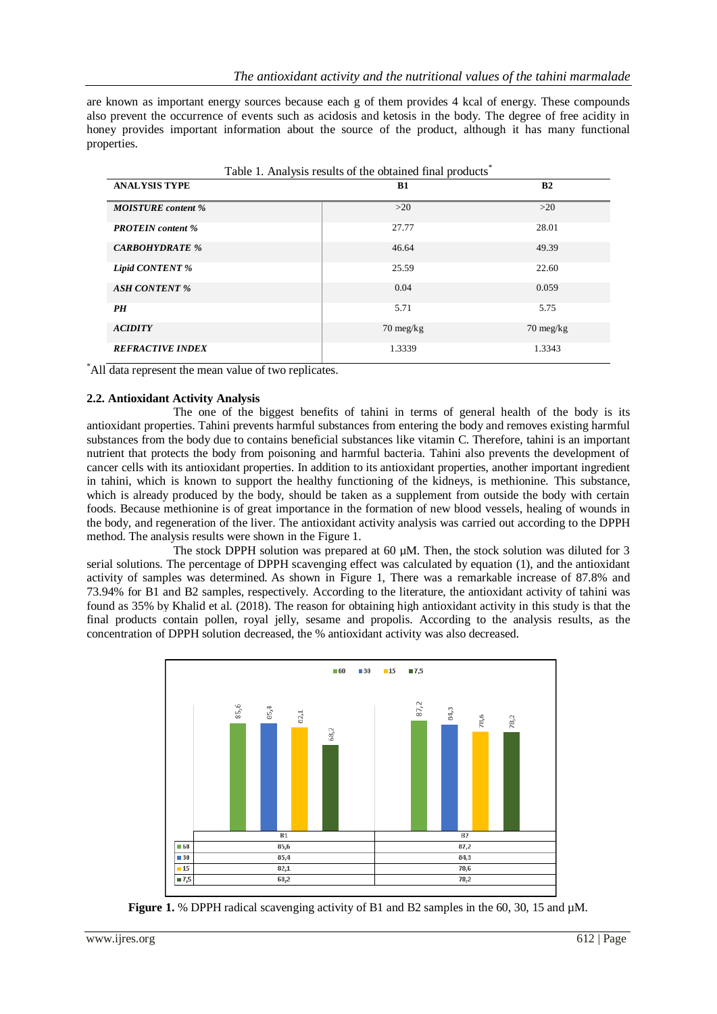are known as important energy sources because each g of them provides 4 kcal of energy. These compounds also prevent the occurrence of events such as acidosis and ketosis in the body. The degree of free acidity in honey provides important information about the source of the product, although it has many functional properties.

| Table 1. Analysis results of the obtained final products <sup>®</sup> |                     |                     |  |  |  |  |  |
|-----------------------------------------------------------------------|---------------------|---------------------|--|--|--|--|--|
| <b>ANALYSIS TYPE</b>                                                  | B1                  | B2                  |  |  |  |  |  |
| <b>MOISTURE</b> content %                                             | >20                 | >20                 |  |  |  |  |  |
| <b>PROTEIN</b> content %                                              | 27.77               | 28.01               |  |  |  |  |  |
| <b>CARBOHYDRATE %</b>                                                 | 46.64               | 49.39               |  |  |  |  |  |
| <b>Lipid CONTENT %</b>                                                | 25.59               | 22.60               |  |  |  |  |  |
| <b>ASH CONTENT %</b>                                                  | 0.04                | 0.059               |  |  |  |  |  |
| PH                                                                    | 5.71                | 5.75                |  |  |  |  |  |
| <b>ACIDITY</b>                                                        | $70 \text{ meg/kg}$ | $70 \text{ meg/kg}$ |  |  |  |  |  |
| <b>REFRACTIVE INDEX</b>                                               | 1.3339              | 1.3343              |  |  |  |  |  |

\*All data represent the mean value of two replicates.

## **2.2. Antioxidant Activity Analysis**

The one of the biggest benefits of tahini in terms of general health of the body is its antioxidant properties. Tahini prevents harmful substances from entering the body and removes existing harmful substances from the body due to contains beneficial substances like vitamin C. Therefore, tahini is an important nutrient that protects the body from poisoning and harmful bacteria. Tahini also prevents the development of cancer cells with its antioxidant properties. In addition to its antioxidant properties, another important ingredient in tahini, which is known to support the healthy functioning of the kidneys, is methionine. This substance, which is already produced by the body, should be taken as a supplement from outside the body with certain foods. Because methionine is of great importance in the formation of new blood vessels, healing of wounds in the body, and regeneration of the liver. The antioxidant activity analysis was carried out according to the DPPH method. The analysis results were shown in the Figure 1.

The stock DPPH solution was prepared at 60 µM. Then, the stock solution was diluted for 3 serial solutions. The percentage of DPPH scavenging effect was calculated by equation (1), and the antioxidant activity of samples was determined. As shown in Figure 1, There was a remarkable increase of 87.8% and 73.94% for B1 and B2 samples, respectively. According to the literature, the antioxidant activity of tahini was found as 35% by Khalid et al. (2018). The reason for obtaining high antioxidant activity in this study is that the final products contain pollen, royal jelly, sesame and propolis. According to the analysis results, as the concentration of DPPH solution decreased, the % antioxidant activity was also decreased.



**Figure 1.** % DPPH radical scavenging activity of B1 and B2 samples in the 60, 30, 15 and  $\mu$ M.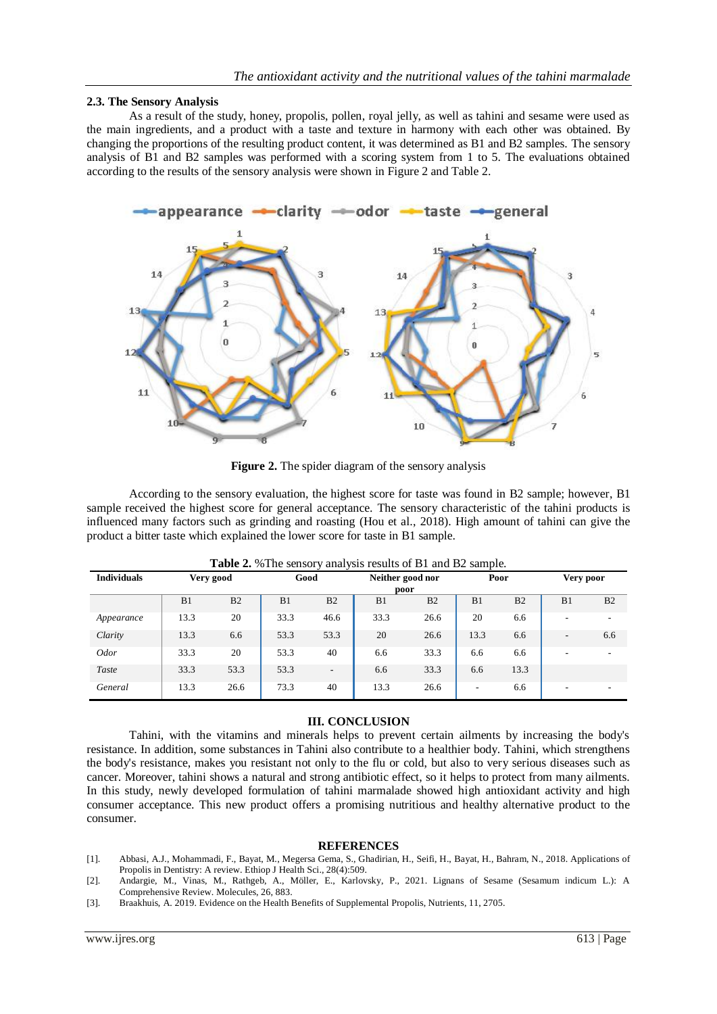## **2.3. The Sensory Analysis**

As a result of the study, honey, propolis, pollen, royal jelly, as well as tahini and sesame were used as the main ingredients, and a product with a taste and texture in harmony with each other was obtained. By changing the proportions of the resulting product content, it was determined as B1 and B2 samples. The sensory analysis of B1 and B2 samples was performed with a scoring system from 1 to 5. The evaluations obtained according to the results of the sensory analysis were shown in Figure 2 and Table 2.



**Figure 2.** The spider diagram of the sensory analysis

According to the sensory evaluation, the highest score for taste was found in B2 sample; however, B1 sample received the highest score for general acceptance. The sensory characteristic of the tahini products is influenced many factors such as grinding and roasting (Hou et al., 2018). High amount of tahini can give the product a bitter taste which explained the lower score for taste in B1 sample.

| <b>TWORE</b> $\frac{1}{2}$ , $\frac{1}{2}$ and $\frac{1}{2}$ and $\frac{1}{2}$ and $\frac{1}{2}$ and $\frac{1}{2}$ and $\frac{1}{2}$ builder. |                   |                |      |                  |      |                |                |                |                          |                          |
|-----------------------------------------------------------------------------------------------------------------------------------------------|-------------------|----------------|------|------------------|------|----------------|----------------|----------------|--------------------------|--------------------------|
| <b>Individuals</b>                                                                                                                            | Good<br>Very good |                |      | Neither good nor |      | Poor           |                | Very poor      |                          |                          |
|                                                                                                                                               | poor              |                |      |                  |      |                |                |                |                          |                          |
|                                                                                                                                               | B1                | B <sub>2</sub> | B1   | B <sub>2</sub>   | B1   | B <sub>2</sub> | B <sub>1</sub> | B <sub>2</sub> | B <sub>1</sub>           | B <sub>2</sub>           |
| Appearance                                                                                                                                    | 13.3              | 20             | 33.3 | 46.6             | 33.3 | 26.6           | 20             | 6.6            | ٠                        | ۰                        |
| Clarity                                                                                                                                       | 13.3              | 6.6            | 53.3 | 53.3             | 20   | 26.6           | 13.3           | 6.6            | $\overline{\phantom{a}}$ | 6.6                      |
| <i>Odor</i>                                                                                                                                   | 33.3              | 20             | 53.3 | 40               | 6.6  | 33.3           | 6.6            | 6.6            | ۰                        | $\overline{\phantom{a}}$ |
| Taste                                                                                                                                         | 33.3              | 53.3           | 53.3 |                  | 6.6  | 33.3           | 6.6            | 13.3           |                          |                          |
| General                                                                                                                                       | 13.3              | 26.6           | 73.3 | 40               | 13.3 | 26.6           |                | 6.6            |                          |                          |

**Table 2.** %The sensory analysis results of B1 and B2 sample.

## **III. CONCLUSION**

Tahini, with the vitamins and minerals helps to prevent certain ailments by increasing the body's resistance. In addition, some substances in Tahini also contribute to a healthier body. Tahini, which strengthens the body's resistance, makes you resistant not only to the flu or cold, but also to very serious diseases such as cancer. Moreover, tahini shows a natural and strong antibiotic effect, so it helps to protect from many ailments. In this study, newly developed formulation of tahini marmalade showed high antioxidant activity and high consumer acceptance. This new product offers a promising nutritious and healthy alternative product to the consumer.

## **REFERENCES**

- [1]. Abbasi, A.J., Mohammadi, F., Bayat, M., Megersa Gema, S., Ghadirian, H., Seifi, H., Bayat, H., Bahram, N., 2018. Applications of Propolis in Dentistry: A review. Ethiop J Health Sci., 28(4):509.
- [2]. Andargie, M., Vinas, M., Rathgeb, A., Möller, E., Karlovsky, P., 2021. Lignans of Sesame (Sesamum indicum L.): A Comprehensive Review. Molecules, 26, 883.
- [3]. Braakhuis, A. 2019. Evidence on the Health Benefits of Supplemental Propolis, Nutrients, 11, 2705.